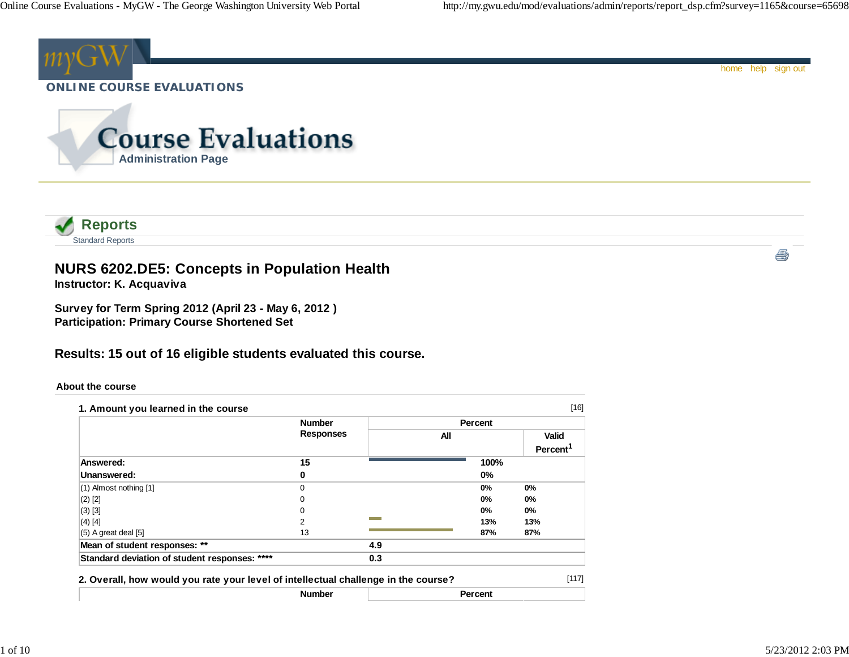

|                                               | <b>Number</b><br><b>Responses</b> |     | <b>Percent</b> |                         |
|-----------------------------------------------|-----------------------------------|-----|----------------|-------------------------|
|                                               |                                   | All |                | <b>Valid</b><br>Percent |
| Answered:                                     | 15                                |     | 100%           |                         |
| Unanswered:                                   | 0                                 |     | $0\%$          |                         |
| $(1)$ Almost nothing $[1]$                    | $\Omega$                          |     | $0\%$          | $0\%$                   |
| $(2)$ [2]                                     | 0                                 |     | $0\%$          | $0\%$                   |
| $(3)$ [3]                                     | 0                                 |     | $0\%$          | $0\%$                   |
| $(4)$ [4]                                     | 2                                 |     | 13%            | 13%                     |
| $(5)$ A great deal $[5]$                      | 13                                |     | 87%            | 87%                     |
| Mean of student responses: **                 |                                   | 4.9 |                |                         |
| Standard deviation of student responses: **** |                                   | 0.3 |                |                         |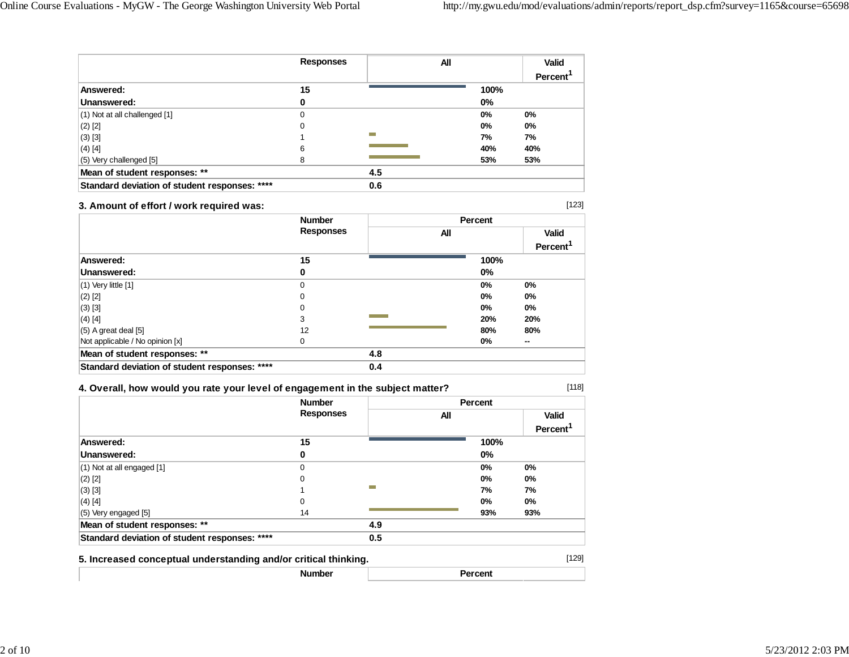|                                               | <b>Responses</b> | All |       | <b>Valid</b> |
|-----------------------------------------------|------------------|-----|-------|--------------|
|                                               |                  |     |       | Percent      |
| Answered:                                     | 15               |     | 100%  |              |
| Unanswered:                                   | 0                |     | $0\%$ |              |
| (1) Not at all challenged [1]                 | 0                |     | $0\%$ | 0%           |
| $(2)$ [2]                                     | 0                |     | $0\%$ | 0%           |
| $(3)$ [3]                                     |                  | ⊢   | 7%    | 7%           |
| $(4)$ [4]                                     | 6                |     | 40%   | 40%          |
| (5) Very challenged [5]                       | 8                |     | 53%   | 53%          |
| Mean of student responses: **                 |                  | 4.5 |       |              |
| Standard deviation of student responses: **** |                  | 0.6 |       |              |

### **3. Amount of effort / work required was:**

[123]

[118]

|                                               | <b>Number</b><br><b>Responses</b> |     | Percent |                |  |
|-----------------------------------------------|-----------------------------------|-----|---------|----------------|--|
|                                               |                                   | All |         | <b>Valid</b>   |  |
|                                               |                                   |     |         | <b>Percent</b> |  |
| Answered:                                     | 15                                |     | 100%    |                |  |
| Unanswered:                                   | 0                                 |     | $0\%$   |                |  |
| $(1)$ Very little $[1]$                       | 0                                 |     | $0\%$   | 0%             |  |
| $(2)$ [2]                                     | 0                                 |     | $0\%$   | 0%             |  |
| $(3)$ [3]                                     | 0                                 |     | 0%      | $0\%$          |  |
| $(4)$ [4]                                     | 3                                 |     | 20%     | 20%            |  |
| $(5)$ A great deal $[5]$                      | 12                                |     | 80%     | 80%            |  |
| Not applicable / No opinion [x]               | 0                                 |     | 0%      | $\sim$         |  |
| Mean of student responses: **                 |                                   | 4.8 |         |                |  |
| Standard deviation of student responses: **** |                                   | 0.4 |         |                |  |

### **4. Overall, how would you rate your level of engagement in the subject matter?**

|                                                                 | <b>Number</b>    |     | <b>Percent</b> |                                      |
|-----------------------------------------------------------------|------------------|-----|----------------|--------------------------------------|
|                                                                 | <b>Responses</b> |     | All            | <b>Valid</b><br>Percent <sup>1</sup> |
| Answered:                                                       | 15               |     | 100%           |                                      |
| Unanswered:                                                     | 0                |     | $0\%$          |                                      |
| $(1)$ Not at all engaged $[1]$                                  | 0                |     | $0\%$          | 0%                                   |
| $(2)$ [2]                                                       | 0                |     | $0\%$          | $0\%$                                |
| $(3)$ [3]                                                       |                  | ▀   | 7%             | 7%                                   |
| $(4)$ [4]                                                       | 0                |     | $0\%$          | $0\%$                                |
| (5) Very engaged [5]                                            | 14               |     | 93%            | 93%                                  |
| Mean of student responses: **                                   |                  | 4.9 |                |                                      |
| Standard deviation of student responses: ****                   |                  | 0.5 |                |                                      |
| 5. Increased conceptual understanding and/or critical thinking. |                  |     |                | [129]                                |
|                                                                 | <b>Number</b>    |     | <b>Percent</b> |                                      |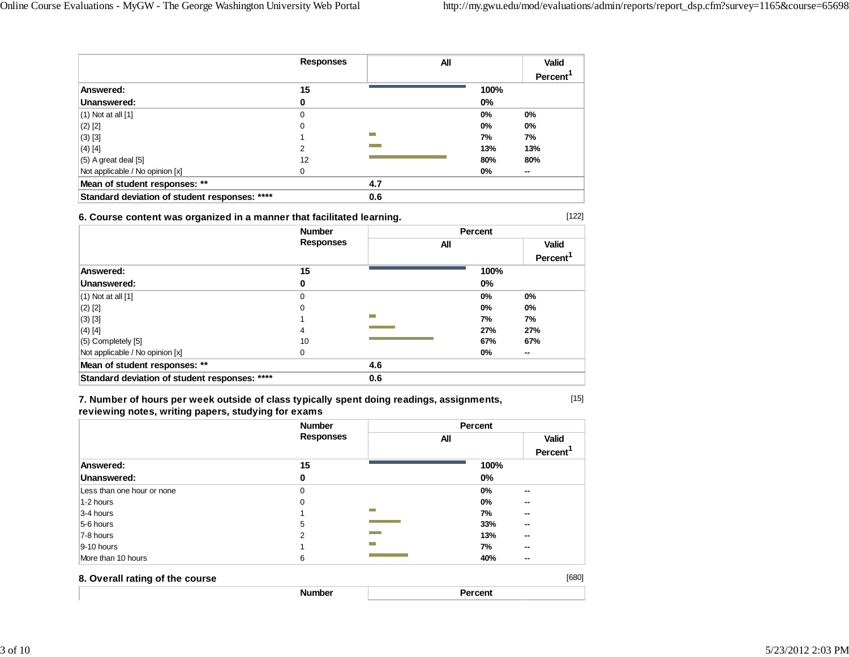[122]

[15]

|                                               | <b>Responses</b> | All              |       | Valid   |
|-----------------------------------------------|------------------|------------------|-------|---------|
|                                               |                  |                  |       | Percent |
| Answered:                                     | 15               |                  | 100%  |         |
| Unanswered:                                   | 0                |                  | $0\%$ |         |
| $(1)$ Not at all $[1]$                        | $\Omega$         |                  | 0%    | 0%      |
| $(2)$ [2]                                     | 0                |                  | 0%    | 0%      |
| $(3)$ [3]                                     |                  | <b>The State</b> | 7%    | 7%      |
| $(4)$ [4]                                     | 2                |                  | 13%   | 13%     |
| $(5)$ A great deal $[5]$                      | 12               |                  | 80%   | 80%     |
| Not applicable / No opinion [x]               | 0                |                  | $0\%$ | --      |
| Mean of student responses: **                 |                  | 4.7              |       |         |
| Standard deviation of student responses: **** |                  | 0.6              |       |         |

### **6. Course content was organized in a manner that facilitated learning.**

|                                               | <b>Number</b><br><b>Responses</b> |     | <b>Percent</b> |                      |  |
|-----------------------------------------------|-----------------------------------|-----|----------------|----------------------|--|
|                                               |                                   | All |                | <b>Valid</b>         |  |
|                                               |                                   |     |                | Percent <sup>1</sup> |  |
| Answered:                                     | 15                                |     | 100%           |                      |  |
| Unanswered:                                   | 0                                 |     | $0\%$          |                      |  |
| $(1)$ Not at all $[1]$                        | 0                                 |     | 0%             | 0%                   |  |
| $(2)$ [2]                                     | 0                                 |     | $0\%$          | 0%                   |  |
| $(3)$ [3]                                     |                                   | m.  | 7%             | 7%                   |  |
| $(4)$ [4]                                     | 4                                 |     | 27%            | 27%                  |  |
| $(5)$ Completely $[5]$                        | 10                                |     | 67%            | 67%                  |  |
| Not applicable / No opinion [x]               | 0                                 |     | 0%             | --                   |  |
| Mean of student responses: **                 |                                   | 4.6 |                |                      |  |
| Standard deviation of student responses: **** |                                   | 0.6 |                |                      |  |

**7. Number of hours per week outside of class typically spent doing readings, assignments, reviewing notes, writing papers, studying for exams**

|                                 | <b>Number</b><br><b>Responses</b> |                  | Percent |                                      |
|---------------------------------|-----------------------------------|------------------|---------|--------------------------------------|
|                                 |                                   |                  | All     | <b>Valid</b><br>Percent <sup>1</sup> |
| Answered:                       | 15                                |                  | 100%    |                                      |
| Unanswered:                     | 0                                 |                  | $0\%$   |                                      |
| Less than one hour or none      | $\Omega$                          |                  | 0%      | $\sim$                               |
| 1-2 hours                       | $\Omega$                          |                  | 0%      | --                                   |
| 3-4 hours                       |                                   | <b>The State</b> | 7%      | $\sim$                               |
| 5-6 hours                       | 5                                 |                  | 33%     | --                                   |
| 7-8 hours                       | 2                                 |                  | 13%     | --                                   |
| $9-10$ hours                    |                                   |                  | 7%      | --                                   |
| More than 10 hours              | 6                                 |                  | 40%     | $\sim$                               |
| 8. Overall rating of the course |                                   |                  |         | [680]                                |
|                                 | <b>Number</b>                     |                  | Percent |                                      |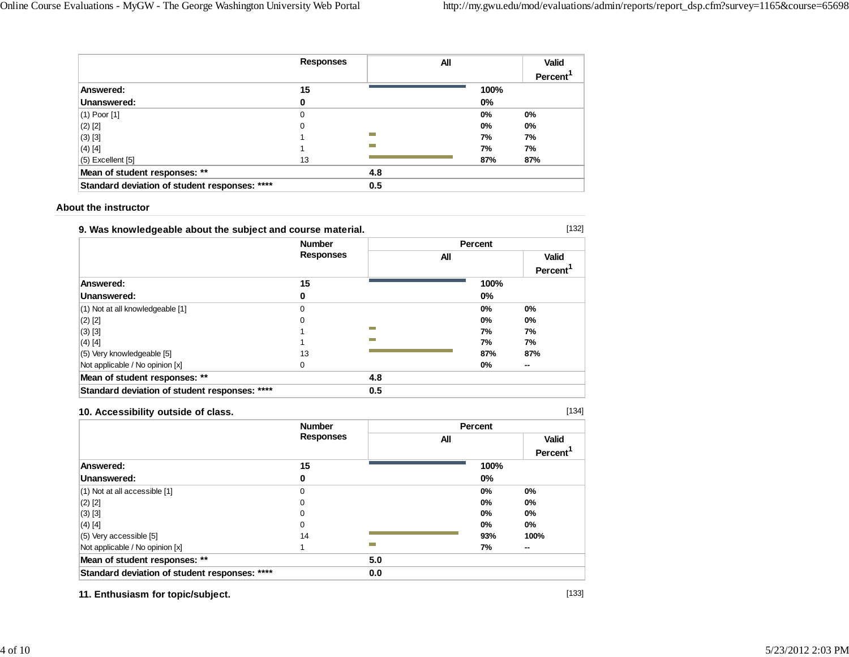|                                               | <b>Responses</b> | All            |       | Valid   |
|-----------------------------------------------|------------------|----------------|-------|---------|
|                                               |                  |                |       | Percent |
| Answered:                                     | 15               |                | 100%  |         |
| Unanswered:                                   | 0                |                | $0\%$ |         |
| $(1)$ Poor $[1]$                              | 0                |                | $0\%$ | $0\%$   |
| $(2)$ [2]                                     | 0                |                | $0\%$ | $0\%$   |
| $(3)$ [3]                                     |                  | m              | 7%    | 7%      |
| $(4)$ [4]                                     |                  | <b>COLLEGE</b> | 7%    | 7%      |
| $(5)$ Excellent $[5]$                         | 13               |                | 87%   | 87%     |
| Mean of student responses: **                 |                  | 4.8            |       |         |
| Standard deviation of student responses: **** |                  | 0.5            |       |         |

#### **About the instructor**

| 9. Was knowledgeable about the subject and course material. |                  |                          |         |         |
|-------------------------------------------------------------|------------------|--------------------------|---------|---------|
|                                                             | <b>Number</b>    |                          | Percent |         |
|                                                             | <b>Responses</b> |                          | All     | Valid   |
|                                                             |                  |                          |         | Percent |
| Answered:                                                   | 15               |                          | 100%    |         |
| Unanswered:                                                 | 0                |                          | $0\%$   |         |
| $(1)$ Not at all knowledgeable $[1]$                        | 0                |                          | $0\%$   | $0\%$   |
| $(2)$ [2]                                                   | 0                |                          | $0\%$   | $0\%$   |
| $(3)$ [3]                                                   |                  | m                        | 7%      | 7%      |
| $(4)$ [4]                                                   |                  | <b>The Second Second</b> | 7%      | 7%      |
| (5) Very knowledgeable [5]                                  | 13               |                          | 87%     | 87%     |
| Not applicable / No opinion [x]                             | 0                |                          | $0\%$   | --      |
| Mean of student responses: **                               |                  | 4.8                      |         |         |
| Standard deviation of student responses: ****               |                  | 0.5                      |         |         |

### **10. Accessibility outside of class.**

[134]

|                                               | <b>Number</b>    |     | Percent |       |                      |
|-----------------------------------------------|------------------|-----|---------|-------|----------------------|
|                                               | <b>Responses</b> |     | All     |       | Valid                |
|                                               |                  |     |         |       | Percent <sup>'</sup> |
| Answered:                                     | 15               |     |         | 100%  |                      |
| Unanswered:                                   | 0                |     |         | $0\%$ |                      |
| $(1)$ Not at all accessible $[1]$             | 0                |     |         | 0%    | 0%                   |
| $(2)$ [2]                                     | 0                |     |         | 0%    | 0%                   |
| $(3)$ [3]                                     | 0                |     |         | 0%    | 0%                   |
| $(4)$ [4]                                     | $\Omega$         |     |         | 0%    | $0\%$                |
| $(5)$ Very accessible [5]                     | 14               |     |         | 93%   | 100%                 |
| Not applicable / No opinion [x]               |                  | ⊢   |         | 7%    | $\sim$               |
| Mean of student responses: **                 |                  | 5.0 |         |       |                      |
| Standard deviation of student responses: **** |                  | 0.0 |         |       |                      |

**11. Enthusiasm for topic/subject.**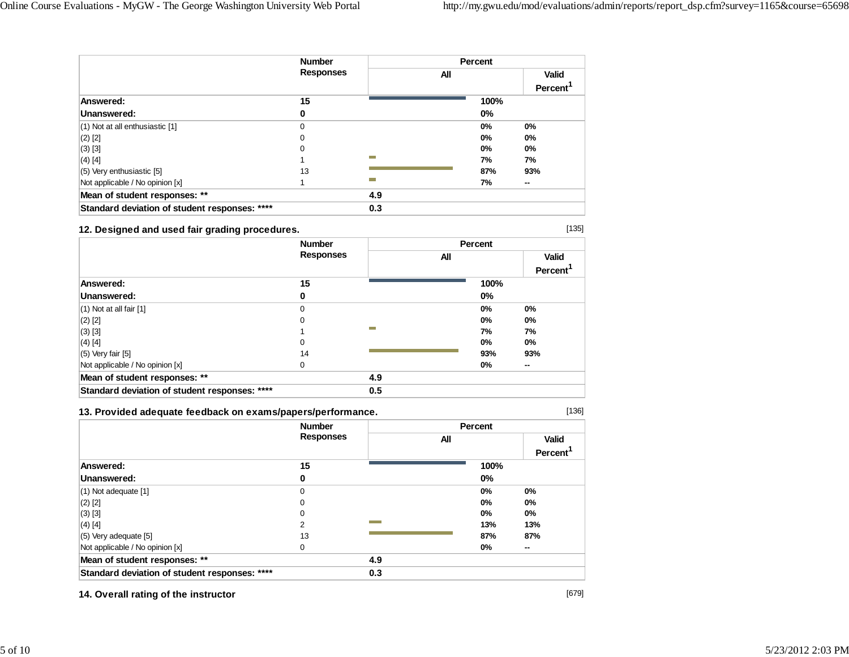|                                               | <b>Number</b>    |            | Percent |                      |  |
|-----------------------------------------------|------------------|------------|---------|----------------------|--|
|                                               | <b>Responses</b> |            | All     | <b>Valid</b>         |  |
|                                               |                  |            |         | Percent <sup>1</sup> |  |
| Answered:                                     | 15               |            | 100%    |                      |  |
| Unanswered:                                   | 0                |            | $0\%$   |                      |  |
| $(1)$ Not at all enthusiastic $[1]$           | 0                |            | $0\%$   | $0\%$                |  |
| $(2)$ [2]                                     | 0                |            | $0\%$   | 0%                   |  |
| $(3)$ [3]                                     | 0                |            | $0\%$   | $0\%$                |  |
| $(4)$ [4]                                     |                  | <b>COL</b> | 7%      | 7%                   |  |
| $(5)$ Very enthusiastic [5]                   | 13               |            | 87%     | 93%                  |  |
| Not applicable / No opinion [x]               |                  | <b>COL</b> | 7%      | --                   |  |
| Mean of student responses: **                 |                  | 4.9        |         |                      |  |
| Standard deviation of student responses: **** |                  | 0.3        |         |                      |  |

### **12. Designed and used fair grading procedures.**

|                                               | <b>Number</b>    |     | <b>Percent</b> |                      |  |
|-----------------------------------------------|------------------|-----|----------------|----------------------|--|
|                                               | <b>Responses</b> | All |                | <b>Valid</b>         |  |
|                                               |                  |     |                | Percent <sup>'</sup> |  |
| Answered:                                     | 15               |     | 100%           |                      |  |
| Unanswered:                                   | 0                |     | $0\%$          |                      |  |
| $(1)$ Not at all fair $[1]$                   | 0                |     | 0%             | 0%                   |  |
| $(2)$ [2]                                     | 0                |     | $0\%$          | 0%                   |  |
| $(3)$ [3]                                     |                  | m.  | 7%             | 7%                   |  |
| $(4)$ [4]                                     | 0                |     | $0\%$          | $0\%$                |  |
| $(5)$ Very fair $[5]$                         | 14               |     | 93%            | 93%                  |  |
| Not applicable / No opinion [x]               | 0                |     | 0%             | $\sim$               |  |
| Mean of student responses: **                 |                  | 4.9 |                |                      |  |
| Standard deviation of student responses: **** |                  | 0.5 |                |                      |  |

### **13. Provided adequate feedback on exams/papers/performance.**

[136]

[135]

|                                               | <b>Number</b>    |     | Percent |                                      |
|-----------------------------------------------|------------------|-----|---------|--------------------------------------|
|                                               | <b>Responses</b> | All |         | <b>Valid</b><br>Percent <sup>'</sup> |
| Answered:                                     | 15               |     | 100%    |                                      |
| Unanswered:                                   | 0                |     | 0%      |                                      |
| $(1)$ Not adequate $[1]$                      | 0                |     | 0%      | 0%                                   |
| $(2)$ [2]                                     | 0                |     | 0%      | 0%                                   |
| $(3)$ [3]                                     | 0                |     | 0%      | $0\%$                                |
| $(4)$ [4]                                     | 2                |     | 13%     | 13%                                  |
| $(5)$ Very adequate [5]                       | 13               |     | 87%     | 87%                                  |
| Not applicable / No opinion [x]               | 0                |     | 0%      | $\sim$                               |
| Mean of student responses: **                 |                  | 4.9 |         |                                      |
| Standard deviation of student responses: **** |                  | 0.3 |         |                                      |

**14. Overall rating of the instructor**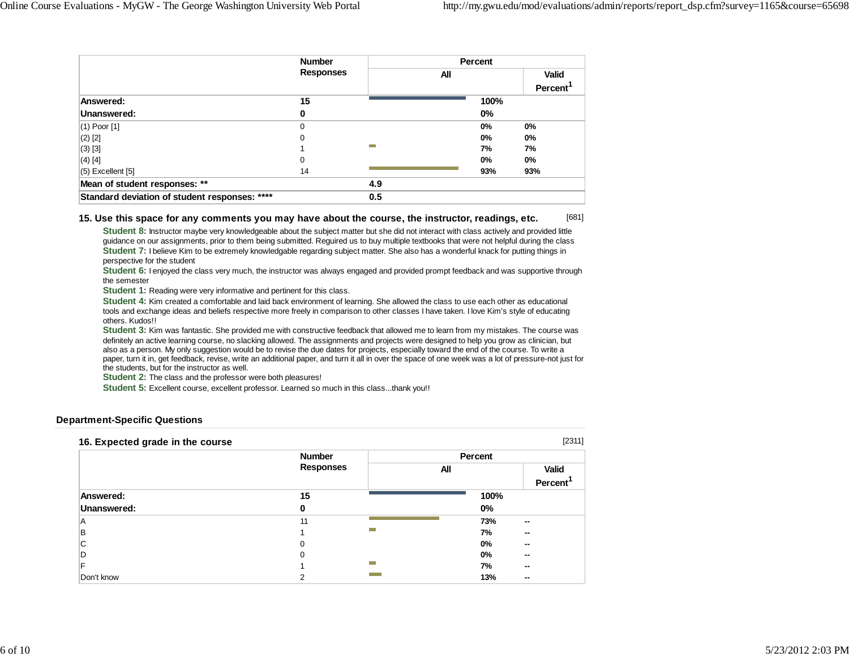|                                               | <b>Number</b>    |                  | Percent |                      |
|-----------------------------------------------|------------------|------------------|---------|----------------------|
|                                               | <b>Responses</b> | All              |         | <b>Valid</b>         |
|                                               |                  |                  |         | Percent <sup>1</sup> |
| Answered:                                     | 15               |                  | 100%    |                      |
| Unanswered:                                   | 0                |                  | $0\%$   |                      |
| $(1)$ Poor $[1]$                              | 0                |                  | $0\%$   | 0%                   |
| $(2)$ [2]                                     | 0                |                  | $0\%$   | 0%                   |
| $(3)$ [3]                                     |                  | <b>The State</b> | 7%      | 7%                   |
| $(4)$ [4]                                     | 0                |                  | $0\%$   | $0\%$                |
| $(5)$ Excellent $[5]$                         | 14               |                  | 93%     | 93%                  |
| Mean of student responses: **                 |                  | 4.9              |         |                      |
| Standard deviation of student responses: **** |                  | 0.5              |         |                      |

#### [681] **15. Use this space for any comments you may have about the course, the instructor, readings, etc.**

**Student 8:** Instructor maybe very knowledgeable about the subject matter but she did not interact with class actively and provided little guidance on our assignments, prior to them being submitted. Reguired us to buy multiple textbooks that were not helpful during the class **Student 7:** I believe Kim to be extremely knowledgable regarding subject matter. She also has a wonderful knack for putting things in perspective for the student

**Student 6:** I enjoyed the class very much, the instructor was always engaged and provided prompt feedback and was supportive through the semester

**Student 1:** Reading were very informative and pertinent for this class.

**Student 4:** Kim created a comfortable and laid back environment of learning. She allowed the class to use each other as educational tools and exchange ideas and beliefs respective more freely in comparison to other classes I have taken. I love Kim's style of educating others. Kudos!!

**Student 3:** Kim was fantastic. She provided me with constructive feedback that allowed me to learn from my mistakes. The course was definitely an active learning course, no slacking allowed. The assignments and projects were designed to help you grow as clinician, but also as a person. My only suggestion would be to revise the due dates for projects, especially toward the end of the course. To write a paper, turn it in, get feedback, revise, write an additional paper, and turn it all in over the space of one week was a lot of pressure-not just for the students, but for the instructor as well.

**Student 2:** The class and the professor were both pleasures!

**Student 5:** Excellent course, excellent professor. Learned so much in this class...thank you!!

### **Department-Specific Questions**

| 16. Expected grade in the course |                  |     |         | [2311]         |
|----------------------------------|------------------|-----|---------|----------------|
|                                  | <b>Number</b>    |     | Percent |                |
|                                  | <b>Responses</b> | All |         | <b>Valid</b>   |
|                                  |                  |     |         | <b>Percent</b> |
| Answered:                        | 15               |     | 100%    |                |
| Unanswered:                      | 0                |     | $0\%$   |                |
| Α                                | 11               |     | 73%     | --             |
| в                                |                  | m.  | 7%      | --             |
| С                                | $\Omega$         |     | 0%      | --             |
| D                                | $\Omega$         |     | 0%      | --             |
| F                                |                  | m   | 7%      | --             |
| Don't know                       | っ                |     | 13%     | --             |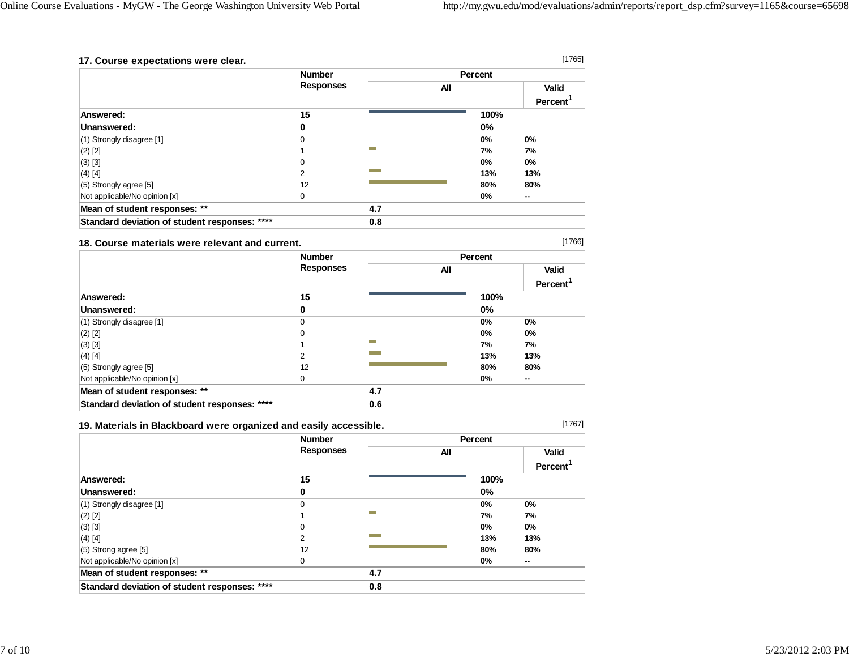[1766]

[1767]

| 17. Course expectations were clear.           |                  |                  |     |         | [1765]                        |
|-----------------------------------------------|------------------|------------------|-----|---------|-------------------------------|
|                                               | <b>Number</b>    |                  |     | Percent |                               |
|                                               | <b>Responses</b> |                  | All |         | Valid<br>Percent <sup>'</sup> |
| Answered:                                     | 15               |                  |     | 100%    |                               |
| Unanswered:                                   | 0                |                  |     | 0%      |                               |
| $(1)$ Strongly disagree [1]                   | 0                |                  |     | $0\%$   | $0\%$                         |
| $(2)$ [2]                                     |                  | <b>The State</b> |     | 7%      | 7%                            |
| $(3)$ [3]                                     | 0                |                  |     | $0\%$   | $0\%$                         |
| $(4)$ [4]                                     | 2                |                  |     | 13%     | 13%                           |
| $(5)$ Strongly agree [5]                      | 12               |                  |     | 80%     | 80%                           |
| Not applicable/No opinion [x]                 | 0                |                  |     | 0%      | --                            |
| Mean of student responses: **                 |                  | 4.7              |     |         |                               |
| Standard deviation of student responses: **** |                  | 0.8              |     |         |                               |

#### **18. Course materials were relevant and current.**

|                                               | <b>Number</b>    |     |     | <b>Percent</b> |                                      |
|-----------------------------------------------|------------------|-----|-----|----------------|--------------------------------------|
|                                               | <b>Responses</b> |     | All |                | <b>Valid</b><br>Percent <sup>'</sup> |
| Answered:                                     | 15               |     |     | 100%           |                                      |
| Unanswered:                                   | 0                |     |     | $0\%$          |                                      |
| (1) Strongly disagree [1]                     | 0                |     |     | $0\%$          | $0\%$                                |
| $(2)$ [2]                                     | 0                |     |     | $0\%$          | 0%                                   |
| $(3)$ [3]                                     |                  | m.  |     | 7%             | 7%                                   |
| $(4)$ [4]                                     | 2                |     |     | 13%            | 13%                                  |
| $(5)$ Strongly agree [5]                      | 12               |     |     | 80%            | 80%                                  |
| Not applicable/No opinion [x]                 | $\Omega$         |     |     | $0\%$          | $\sim$                               |
| Mean of student responses: **                 |                  | 4.7 |     |                |                                      |
| Standard deviation of student responses: **** |                  | 0.6 |     |                |                                      |

## **19. Materials in Blackboard were organized and easily accessible.**

|                                               | <b>Number</b>    |     | Percent |                      |
|-----------------------------------------------|------------------|-----|---------|----------------------|
|                                               | <b>Responses</b> | All |         | <b>Valid</b>         |
|                                               |                  |     |         | Percent <sup>1</sup> |
| Answered:                                     | 15               |     | 100%    |                      |
| Unanswered:                                   | 0                |     | 0%      |                      |
| (1) Strongly disagree [1]                     | 0                |     | 0%      | $0\%$                |
| $(2)$ [2]                                     |                  | -   | 7%      | 7%                   |
| $(3)$ [3]                                     | 0                |     | $0\%$   | $0\%$                |
| $(4)$ [4]                                     | 2                |     | 13%     | 13%                  |
| (5) Strong agree [5]                          | 12               |     | 80%     | 80%                  |
| Not applicable/No opinion [x]                 | 0                |     | 0%      | --                   |
| Mean of student responses: **                 |                  | 4.7 |         |                      |
| Standard deviation of student responses: **** |                  | 0.8 |         |                      |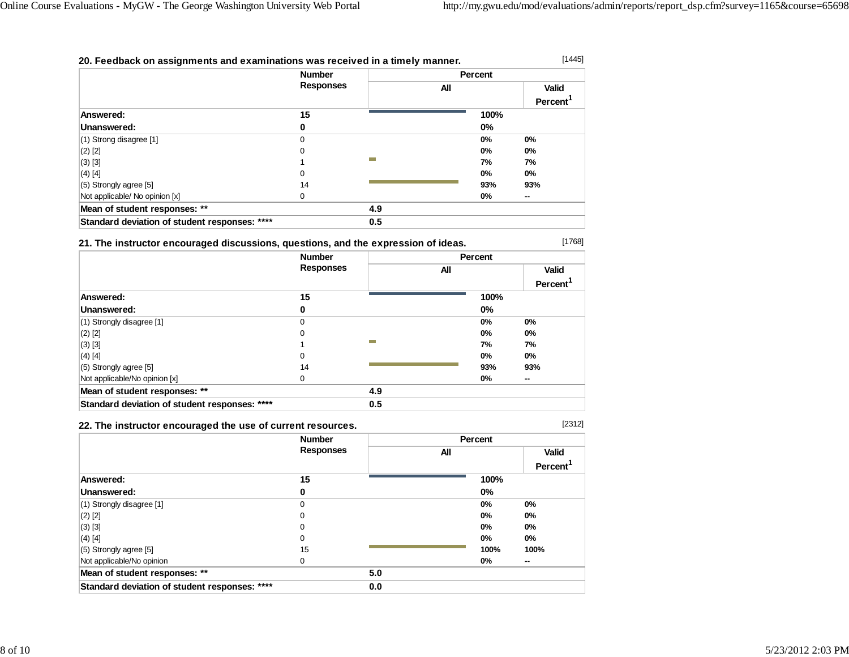[1445]

[1768]

### **20. Feedback on assignments and examinations was received in a timely manner.**

|                                               | <b>Number</b>    |     | <b>Percent</b> |                      |
|-----------------------------------------------|------------------|-----|----------------|----------------------|
|                                               | <b>Responses</b> | All |                | Valid                |
|                                               |                  |     |                | Percent <sup>1</sup> |
| Answered:                                     | 15               |     | 100%           |                      |
| Unanswered:                                   | 0                |     | 0%             |                      |
| $(1)$ Strong disagree [1]                     | 0                |     | $0\%$          | $0\%$                |
| $(2)$ [2]                                     | 0                |     | $0\%$          | $0\%$                |
| $(3)$ [3]                                     |                  | −   | 7%             | 7%                   |
| $(4)$ [4]                                     | 0                |     | $0\%$          | $0\%$                |
| $(5)$ Strongly agree [5]                      | 14               |     | 93%            | 93%                  |
| Not applicable/ No opinion [x]                | $\Omega$         |     | $0\%$          | $\sim$               |
| Mean of student responses: **                 |                  | 4.9 |                |                      |
| Standard deviation of student responses: **** |                  | 0.5 |                |                      |

**21. The instructor encouraged discussions, questions, and the expression of ideas.**

|                                               | <b>Number</b>    |                  | Percent |                                |
|-----------------------------------------------|------------------|------------------|---------|--------------------------------|
|                                               | <b>Responses</b> | All              |         | <b>Valid</b><br><b>Percent</b> |
| Answered:                                     | 15               |                  | 100%    |                                |
| Unanswered:                                   | 0                |                  | 0%      |                                |
| $(1)$ Strongly disagree $[1]$                 | $\Omega$         |                  | $0\%$   | 0%                             |
| $(2)$ [2]                                     | 0                |                  | $0\%$   | 0%                             |
| $(3)$ [3]                                     |                  | <b>The State</b> | 7%      | 7%                             |
| (4) [4]                                       | 0                |                  | $0\%$   | $0\%$                          |
| $(5)$ Strongly agree $[5]$                    | 14               |                  | 93%     | 93%                            |
| Not applicable/No opinion [x]                 | 0                |                  | 0%      | --                             |
| Mean of student responses: **                 |                  | 4.9              |         |                                |
| Standard deviation of student responses: **** |                  | 0.5              |         |                                |

### **22. The instructor encouraged the use of current resources.**

[2312]

|                                               | <b>Number</b>    |     | Percent |                      |
|-----------------------------------------------|------------------|-----|---------|----------------------|
|                                               | <b>Responses</b> | All |         | <b>Valid</b>         |
|                                               |                  |     |         | Percent <sup>1</sup> |
| Answered:                                     | 15               |     | 100%    |                      |
| Unanswered:                                   | 0                |     | 0%      |                      |
| $(1)$ Strongly disagree $[1]$                 | 0                |     | 0%      | 0%                   |
| $(2)$ [2]                                     | 0                |     | $0\%$   | $0\%$                |
| $(3)$ [3]                                     | 0                |     | $0\%$   | $0\%$                |
| $(4)$ [4]                                     | 0                |     | $0\%$   | 0%                   |
| $(5)$ Strongly agree $[5]$                    | 15               |     | 100%    | 100%                 |
| Not applicable/No opinion                     | 0                |     | 0%      | $\sim$               |
| Mean of student responses: **                 |                  | 5.0 |         |                      |
| Standard deviation of student responses: **** |                  | 0.0 |         |                      |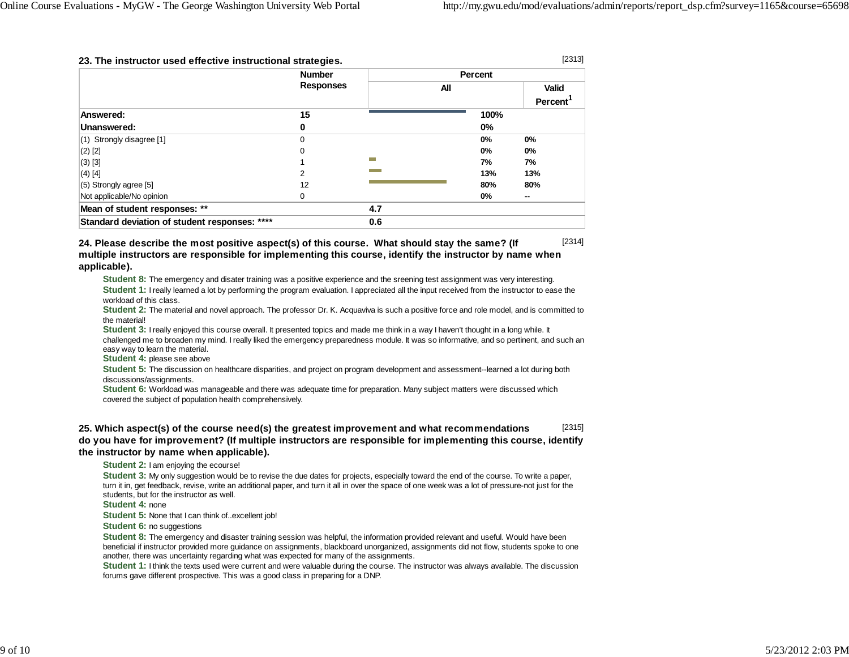#### **23. The instructor used effective instructional strategies.**

[2313]

|                                               | <b>Number</b>    |                  | Percent |              |
|-----------------------------------------------|------------------|------------------|---------|--------------|
|                                               | <b>Responses</b> | All              |         | <b>Valid</b> |
| Answered:                                     | 15               |                  | 100%    | Percent      |
| Unanswered:                                   | 0                |                  | $0\%$   |              |
| $(1)$ Strongly disagree $[1]$                 | 0                |                  | $0\%$   | $0\%$        |
| $(2)$ [2]                                     | 0                |                  | 0%      | $0\%$        |
| $(3)$ [3]                                     |                  | <b>The State</b> | 7%      | 7%           |
| $(4)$ [4]                                     | 2                |                  | 13%     | 13%          |
| $(5)$ Strongly agree [5]                      | 12               |                  | 80%     | 80%          |
| Not applicable/No opinion                     | 0                |                  | 0%      | $\sim$       |
| Mean of student responses: **                 |                  | 4.7              |         |              |
| Standard deviation of student responses: **** |                  | 0.6              |         |              |

[2314] **24. Please describe the most positive aspect(s) of this course. What should stay the same? (If multiple instructors are responsible for implementing this course, identify the instructor by name when applicable).**

**Student 8:** The emergency and disater training was a positive experience and the sreening test assignment was very interesting. **Student 1:** I really learned a lot by performing the program evaluation. I appreciated all the input received from the instructor to ease the workload of this class.

**Student 2:** The material and novel approach. The professor Dr. K. Acquaviva is such a positive force and role model, and is committed to the material!

**Student 3:** I really enjoyed this course overall. It presented topics and made me think in a way I haven't thought in a long while. It challenged me to broaden my mind. I really liked the emergency preparedness module. It was so informative, and so pertinent, and such an easy way to learn the material.

**Student 4:** please see above

**Student 5:** The discussion on healthcare disparities, and project on program development and assessment--learned a lot during both discussions/assignments.

**Student 6:** Workload was manageable and there was adequate time for preparation. Many subject matters were discussed which covered the subject of population health comprehensively.

[2315] **25. Which aspect(s) of the course need(s) the greatest improvement and what recommendations do you have for improvement? (If multiple instructors are responsible for implementing this course, identify the instructor by name when applicable).**

**Student 2:** I am enjoying the ecourse!

**Student 3:** My only suggestion would be to revise the due dates for projects, especially toward the end of the course. To write a paper, turn it in, get feedback, revise, write an additional paper, and turn it all in over the space of one week was a lot of pressure-not just for the students, but for the instructor as well.

**Student 4:** none

**Student 5:** None that I can think of..excellent job!

**Student 6:** no suggestions

**Student 8:** The emergency and disaster training session was helpful, the information provided relevant and useful. Would have been beneficial if instructor provided more guidance on assignments, blackboard unorganized, assignments did not flow, students spoke to one another, there was uncertainty regarding what was expected for many of the assignments.

**Student 1:** I think the texts used were current and were valuable during the course. The instructor was always available. The discussion forums gave different prospective. This was a good class in preparing for a DNP.